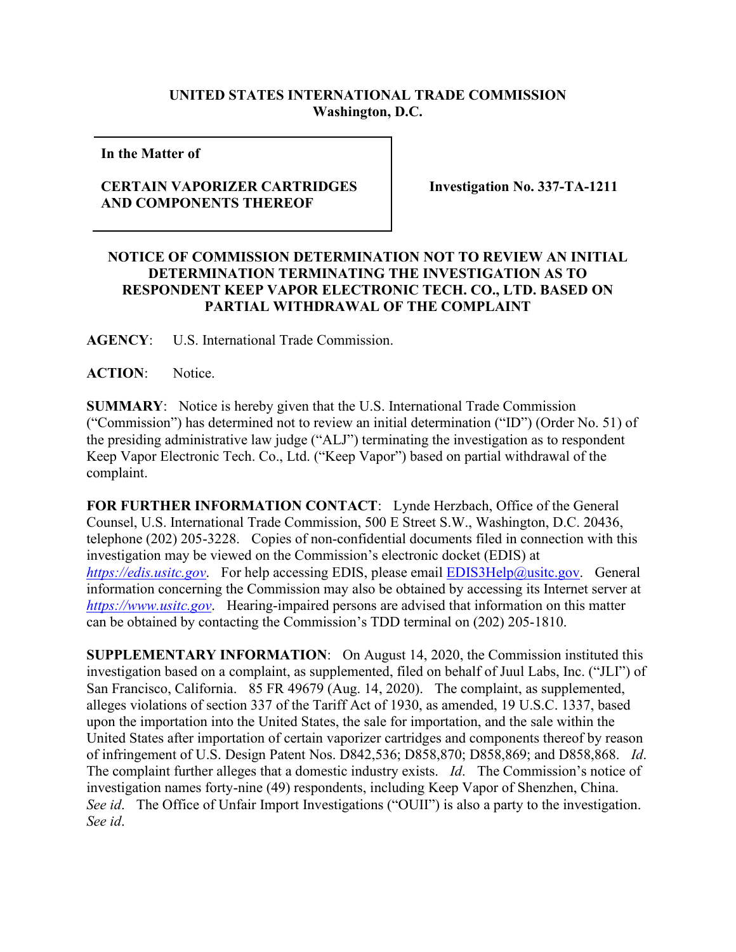## **UNITED STATES INTERNATIONAL TRADE COMMISSION Washington, D.C.**

**In the Matter of** 

## **CERTAIN VAPORIZER CARTRIDGES AND COMPONENTS THEREOF**

**Investigation No. 337-TA-1211**

## **NOTICE OF COMMISSION DETERMINATION NOT TO REVIEW AN INITIAL DETERMINATION TERMINATING THE INVESTIGATION AS TO RESPONDENT KEEP VAPOR ELECTRONIC TECH. CO., LTD. BASED ON PARTIAL WITHDRAWAL OF THE COMPLAINT**

**AGENCY**: U.S. International Trade Commission.

**ACTION**: Notice.

**SUMMARY**: Notice is hereby given that the U.S. International Trade Commission ("Commission") has determined not to review an initial determination ("ID") (Order No. 51) of the presiding administrative law judge ("ALJ") terminating the investigation as to respondent Keep Vapor Electronic Tech. Co., Ltd. ("Keep Vapor") based on partial withdrawal of the complaint.

**FOR FURTHER INFORMATION CONTACT**: Lynde Herzbach, Office of the General Counsel, U.S. International Trade Commission, 500 E Street S.W., Washington, D.C. 20436, telephone (202) 205-3228. Copies of non-confidential documents filed in connection with this investigation may be viewed on the Commission's electronic docket (EDIS) at *[https://edis.usitc.gov](https://edis.usitc.gov/).* For help accessing EDIS, please email **EDIS3Help@usitc.gov**. General information concerning the Commission may also be obtained by accessing its Internet server at *[https://www.usitc.gov](https://www.usitc.gov/)*. Hearing-impaired persons are advised that information on this matter can be obtained by contacting the Commission's TDD terminal on (202) 205-1810.

**SUPPLEMENTARY INFORMATION**: On August 14, 2020, the Commission instituted this investigation based on a complaint, as supplemented, filed on behalf of Juul Labs, Inc. ("JLI") of San Francisco, California. 85 FR 49679 (Aug. 14, 2020). The complaint, as supplemented, alleges violations of section 337 of the Tariff Act of 1930, as amended, 19 U.S.C. 1337, based upon the importation into the United States, the sale for importation, and the sale within the United States after importation of certain vaporizer cartridges and components thereof by reason of infringement of U.S. Design Patent Nos. D842,536; D858,870; D858,869; and D858,868. *Id*. The complaint further alleges that a domestic industry exists. *Id*. The Commission's notice of investigation names forty-nine (49) respondents, including Keep Vapor of Shenzhen, China. *See id*. The Office of Unfair Import Investigations ("OUII") is also a party to the investigation. *See id*.